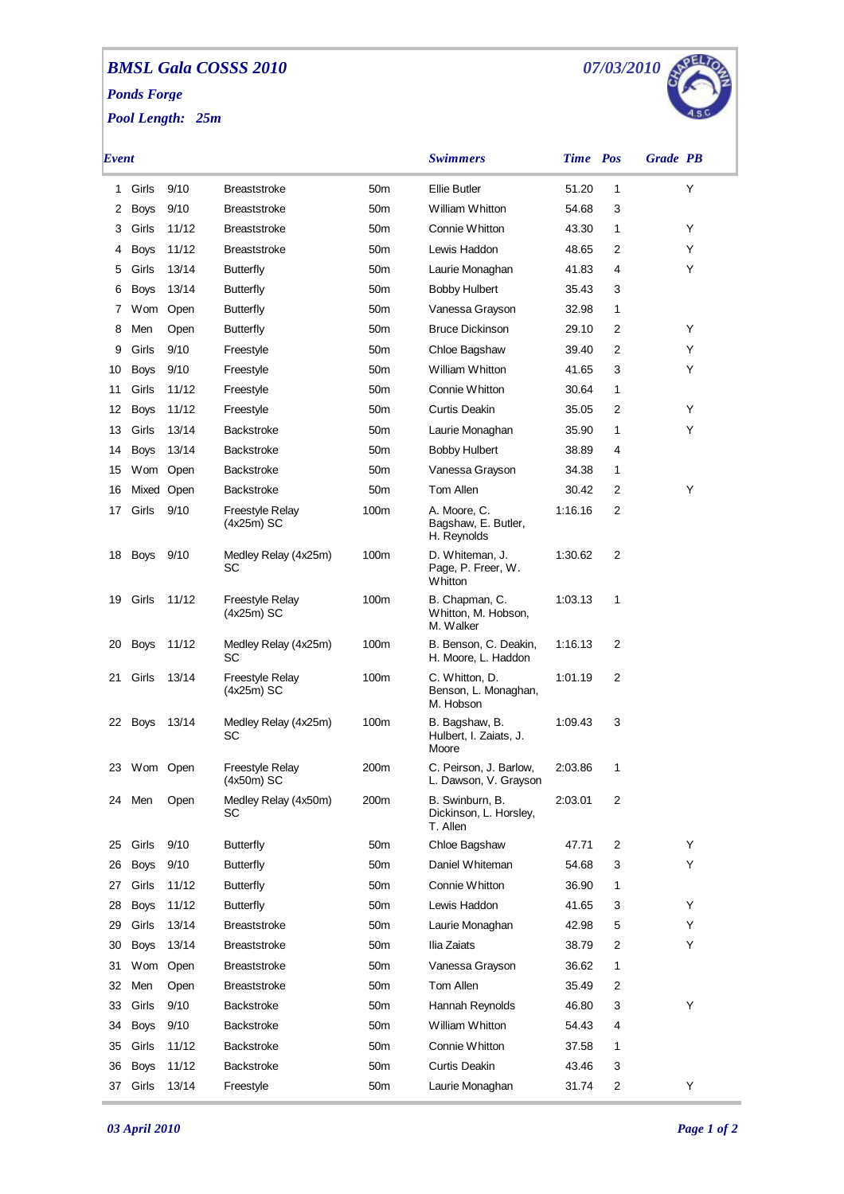## *BMSL Gala COSSS 2010 Ponds Forge*

*Pool Length: 25m*



| Event |             |            |                                        |                 | <b>Swimmers</b>                                       | <b>Time</b> Pos |   | <b>Grade</b> PB |
|-------|-------------|------------|----------------------------------------|-----------------|-------------------------------------------------------|-----------------|---|-----------------|
| 1     | Girls       | 9/10       | <b>Breaststroke</b>                    | 50 <sub>m</sub> | <b>Ellie Butler</b>                                   | 51.20           | 1 | Y               |
| 2     | <b>Boys</b> | 9/10       | <b>Breaststroke</b>                    | 50 <sub>m</sub> | William Whitton                                       | 54.68           | 3 |                 |
| 3     | Girls       | 11/12      | <b>Breaststroke</b>                    | 50 <sub>m</sub> | Connie Whitton                                        | 43.30           | 1 | Y               |
| 4     | <b>Boys</b> | 11/12      | <b>Breaststroke</b>                    | 50 <sub>m</sub> | Lewis Haddon                                          | 48.65           | 2 | Y               |
| 5     | Girls       | 13/14      | <b>Butterfly</b>                       | 50 <sub>m</sub> | Laurie Monaghan                                       | 41.83           | 4 | Y               |
| 6     | <b>Boys</b> | 13/14      | <b>Butterfly</b>                       | 50 <sub>m</sub> | <b>Bobby Hulbert</b>                                  | 35.43           | 3 |                 |
| 7     |             | Wom Open   | <b>Butterfly</b>                       | 50 <sub>m</sub> | Vanessa Grayson                                       | 32.98           | 1 |                 |
| 8     | Men         | Open       | Butterfly                              | 50 <sub>m</sub> | <b>Bruce Dickinson</b>                                | 29.10           | 2 | Y               |
| 9     | Girls       | 9/10       | Freestyle                              | 50 <sub>m</sub> | Chloe Bagshaw                                         | 39.40           | 2 | Y               |
| 10    | Boys        | 9/10       | Freestyle                              | 50 <sub>m</sub> | William Whitton                                       | 41.65           | 3 | Y               |
| 11    | Girls       | 11/12      | Freestyle                              | 50 <sub>m</sub> | Connie Whitton                                        | 30.64           | 1 |                 |
| 12    | Boys        | 11/12      | Freestyle                              | 50 <sub>m</sub> | Curtis Deakin                                         | 35.05           | 2 | Y               |
| 13    | Girls       | 13/14      | <b>Backstroke</b>                      | 50 <sub>m</sub> | Laurie Monaghan                                       | 35.90           | 1 | Y               |
| 14    | <b>Boys</b> | 13/14      | <b>Backstroke</b>                      | 50 <sub>m</sub> | <b>Bobby Hulbert</b>                                  | 38.89           | 4 |                 |
| 15    | Wom Open    |            | <b>Backstroke</b>                      | 50 <sub>m</sub> | Vanessa Grayson                                       | 34.38           | 1 |                 |
| 16    |             | Mixed Open | <b>Backstroke</b>                      | 50 <sub>m</sub> | Tom Allen                                             | 30.42           | 2 | Y               |
| 17    | Girls       | 9/10       | Freestyle Relay<br>$(4x25m)$ SC        | 100m            | A. Moore. C.<br>Bagshaw, E. Butler,<br>H. Reynolds    | 1:16.16         | 2 |                 |
| 18    | Boys        | 9/10       | Medley Relay (4x25m)<br>SC             | 100m            | D. Whiteman, J.<br>Page, P. Freer, W.<br>Whitton      | 1:30.62         | 2 |                 |
| 19    | Girls       | 11/12      | Freestyle Relay<br>$(4x25m)$ SC        | 100m            | B. Chapman, C.<br>Whitton, M. Hobson,<br>M. Walker    | 1:03.13         | 1 |                 |
| 20    | Boys        | 11/12      | Medley Relay (4x25m)<br>SC             | 100m            | B. Benson, C. Deakin,<br>H. Moore, L. Haddon          | 1:16.13         | 2 |                 |
| 21    | Girls       | 13/14      | <b>Freestyle Relay</b><br>$(4x25m)$ SC | 100m            | C. Whitton, D.<br>Benson, L. Monaghan,<br>M. Hobson   | 1:01.19         | 2 |                 |
|       | 22 Boys     | 13/14      | Medley Relay (4x25m)<br>SC             | 100m            | B. Bagshaw, B.<br>Hulbert, I. Zaiats, J.<br>Moore     | 1:09.43         | 3 |                 |
|       | 23 Wom Open |            | Freestyle Relay<br>(4x50m) SC          | 200m            | C. Peirson, J. Barlow,<br>L. Dawson, V. Grayson       | 2:03.86         | 1 |                 |
| 24    | Men         | Open       | Medley Relay (4x50m)<br>SC             | 200m            | B. Swinburn, B.<br>Dickinson, L. Horsley,<br>T. Allen | 2:03.01         | 2 |                 |
| 25    | Girls       | 9/10       | <b>Butterfly</b>                       | 50 <sub>m</sub> | Chloe Bagshaw                                         | 47.71           | 2 | Y               |
| 26    | Boys        | 9/10       | <b>Butterfly</b>                       | 50 <sub>m</sub> | Daniel Whiteman                                       | 54.68           | 3 | Y               |
| 27    | Girls       | 11/12      | <b>Butterfly</b>                       | 50 <sub>m</sub> | Connie Whitton                                        | 36.90           | 1 |                 |
| 28    | <b>Boys</b> | 11/12      | <b>Butterfly</b>                       | 50 <sub>m</sub> | Lewis Haddon                                          | 41.65           | 3 | Y               |
| 29    | Girls       | 13/14      | <b>Breaststroke</b>                    | 50 <sub>m</sub> | Laurie Monaghan                                       | 42.98           | 5 | Y               |
| 30    | <b>Boys</b> | 13/14      | <b>Breaststroke</b>                    | 50 <sub>m</sub> | Ilia Zaiats                                           | 38.79           | 2 | Y               |
| 31    |             | Wom Open   | <b>Breaststroke</b>                    | 50 <sub>m</sub> | Vanessa Grayson                                       | 36.62           | 1 |                 |
| 32    | Men         | Open       | <b>Breaststroke</b>                    | 50 <sub>m</sub> | Tom Allen                                             | 35.49           | 2 |                 |
| 33    | Girls       | 9/10       | <b>Backstroke</b>                      | 50 <sub>m</sub> | Hannah Reynolds                                       | 46.80           | 3 | Y               |
| 34    | <b>Boys</b> | 9/10       | <b>Backstroke</b>                      | 50 <sub>m</sub> | William Whitton                                       | 54.43           | 4 |                 |
| 35    | Girls       | 11/12      | <b>Backstroke</b>                      | 50 <sub>m</sub> | Connie Whitton                                        | 37.58           | 1 |                 |
| 36    | <b>Boys</b> | 11/12      | Backstroke                             | 50 <sub>m</sub> | Curtis Deakin                                         | 43.46           | 3 |                 |
| 37    | Girls       | 13/14      | Freestyle                              | 50 <sub>m</sub> | Laurie Monaghan                                       | 31.74           | 2 | Υ               |